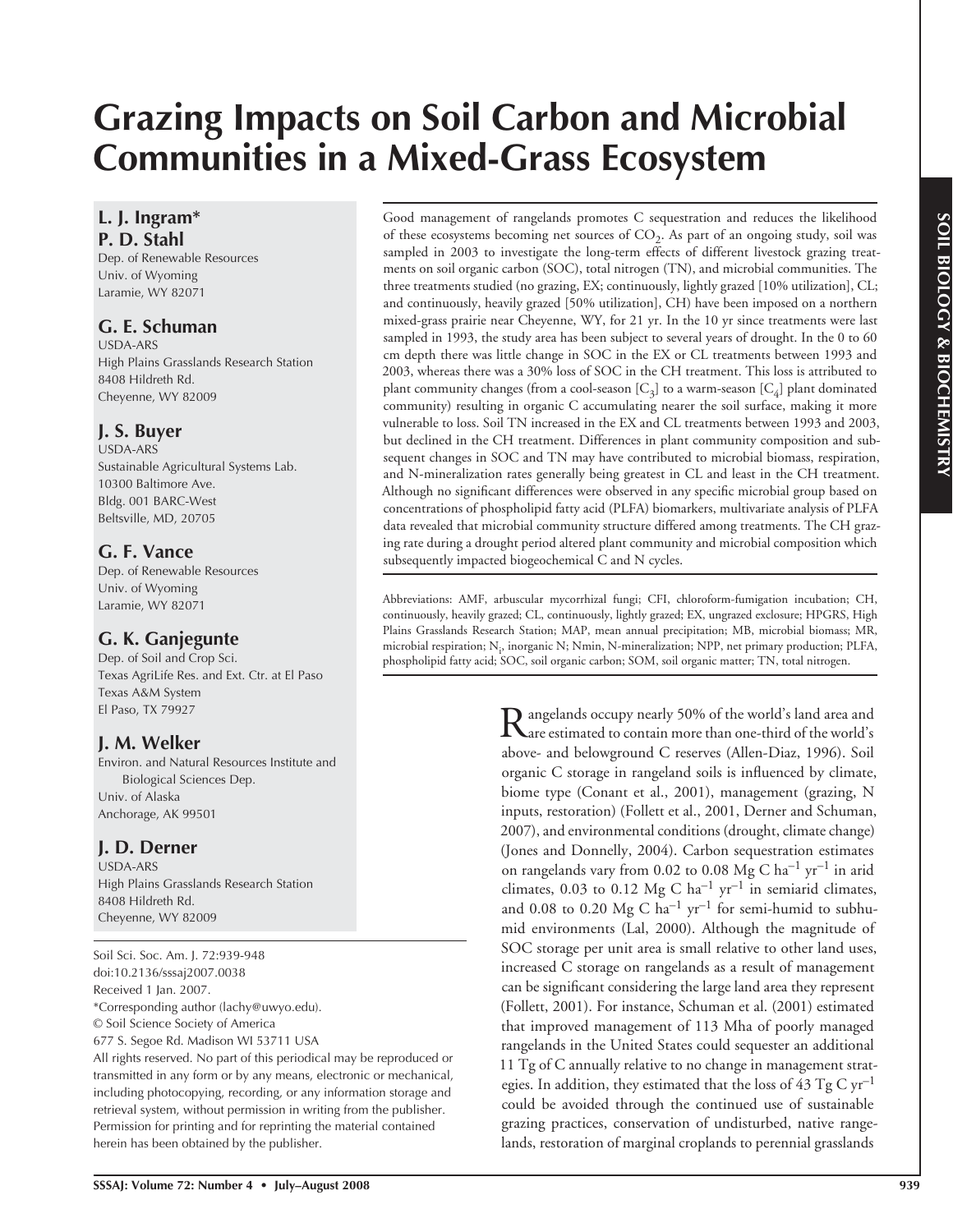# **Grazing Impacts on Soil Carbon and Microbial Communities in a Mixed-Grass Ecosystem**

## **L. J. Ingram\* P. D. Stahl**

Dep. of Renewable Resources Univ. of Wyoming Laramie, WY 82071

## **G. E. Schuman**

USDA-ARS High Plains Grasslands Research Station 8408 Hildreth Rd. Cheyenne, WY 82009

## **J. S. Buyer**

USDA-ARS Sustainable Agricultural Systems Lab. 10300 Baltimore Ave. Bldg. 001 BARC-West Beltsville, MD, 20705

# **G. F. Vance**

Dep. of Renewable Resources Univ. of Wyoming Laramie, WY 82071

# **G. K. Ganjegunte**

Dep. of Soil and Crop Sci. Texas AgriLife Res. and Ext. Ctr. at El Paso Texas A&M System El Paso, TX 79927

## **J. M. Welker**

Environ. and Natural Resources Institute and Biological Sciences Dep. Univ. of Alaska Anchorage, AK 99501

# **J. D. Derner**

USDA-ARS High Plains Grasslands Research Station 8408 Hildreth Rd. Cheyenne, WY 82009

Soil Sci. Soc. Am. J. 72:939-948 doi:10.2136/sssaj2007.0038 Received 1 Jan. 2007. \*Corresponding author (lachy@uwyo.edu). © Soil Science Society of America 677 S. Segoe Rd. Madison WI 53711 USA All rights reserved. No part of this periodical may be reproduced or

transmitted in any form or by any means, electronic or mechanical, including photocopying, recording, or any information storage and retrieval system, without permission in writing from the publisher. Permission for printing and for reprinting the material contained herein has been obtained by the publisher.

Good management of rangelands promotes C sequestration and reduces the likelihood of these ecosystems becoming net sources of  $CO<sub>2</sub>$ . As part of an ongoing study, soil was sampled in 2003 to investigate the long-term effects of different livestock grazing treatments on soil organic carbon (SOC), total nitrogen (TN), and microbial communities. The three treatments studied (no grazing, EX; continuously, lightly grazed [10% utilization], CL; and continuously, heavily grazed [50% utilization], CH) have been imposed on a northern mixed-grass prairie near Cheyenne, WY, for 21 yr. In the 10 yr since treatments were last sampled in 1993, the study area has been subject to several years of drought. In the 0 to 60 cm depth there was little change in SOC in the EX or CL treatments between 1993 and 2003, whereas there was a 30% loss of SOC in the CH treatment. This loss is attributed to plant community changes (from a cool-season  $[C_3]$  to a warm-season  $[C_4]$  plant dominated community) resulting in organic C accumulating nearer the soil surface, making it more vulnerable to loss. Soil TN increased in the EX and CL treatments between 1993 and 2003, but declined in the CH treatment. Differences in plant community composition and subsequent changes in SOC and TN may have contributed to microbial biomass, respiration, and N-mineralization rates generally being greatest in CL and least in the CH treatment. Although no significant differences were observed in any specific microbial group based on concentrations of phospholipid fatty acid (PLFA) biomarkers, multivariate analysis of PLFA data revealed that microbial community structure differed among treatments. The CH grazing rate during a drought period altered plant community and microbial composition which subsequently impacted biogeochemical C and N cycles.

Abbreviations: AMF, arbuscular mycorrhizal fungi; CFI, chloroform-fumigation incubation; CH, continuously, heavily grazed; CL, continuously, lightly grazed; EX, ungrazed exclosure; HPGRS, High Plains Grasslands Research Station; MAP, mean annual precipitation; MB, microbial biomass; MR, microbial respiration;  $N_i$ , inorganic  $N$ ;  $N$ min,  $N$ -mineralization;  $NPP$ , net primary production; PLFA, phospholipid fatty acid; SOC, soil organic carbon; SOM, soil organic matter; TN, total nitrogen.

> Rangelands occupy nearly 50% of the world's land area and<br>are estimated to contain more than one-third of the world's above- and belowground C reserves (Allen-Diaz, 1996). Soil organic C storage in rangeland soils is influenced by climate, biome type (Conant et al., 2001), management (grazing, N inputs, restoration) (Follett et al., 2001, Derner and Schuman, 2007), and environmental conditions (drought, climate change) (Jones and Donnelly, 2004). Carbon sequestration estimates on rangelands vary from 0.02 to 0.08 Mg C  $ha^{-1}$  yr<sup>-1</sup> in arid climates, 0.03 to 0.12 Mg C ha<sup>-1</sup> yr<sup>-1</sup> in semiarid climates, and 0.08 to 0.20  $Mg$  C ha<sup>-1</sup> yr<sup>-1</sup> for semi-humid to subhumid environments (Lal, 2000). Although the magnitude of SOC storage per unit area is small relative to other land uses, increased C storage on rangelands as a result of management can be significant considering the large land area they represent (Follett, 2001). For instance, Schuman et al. (2001) estimated that improved management of 113 Mha of poorly managed rangelands in the United States could sequester an additional 11 Tg of C annually relative to no change in management strategies. In addition, they estimated that the loss of 43 Tg C  $\rm{yr}^{-1}$ could be avoided through the continued use of sustainable grazing practices, conservation of undisturbed, native rangelands, restoration of marginal croplands to perennial grasslands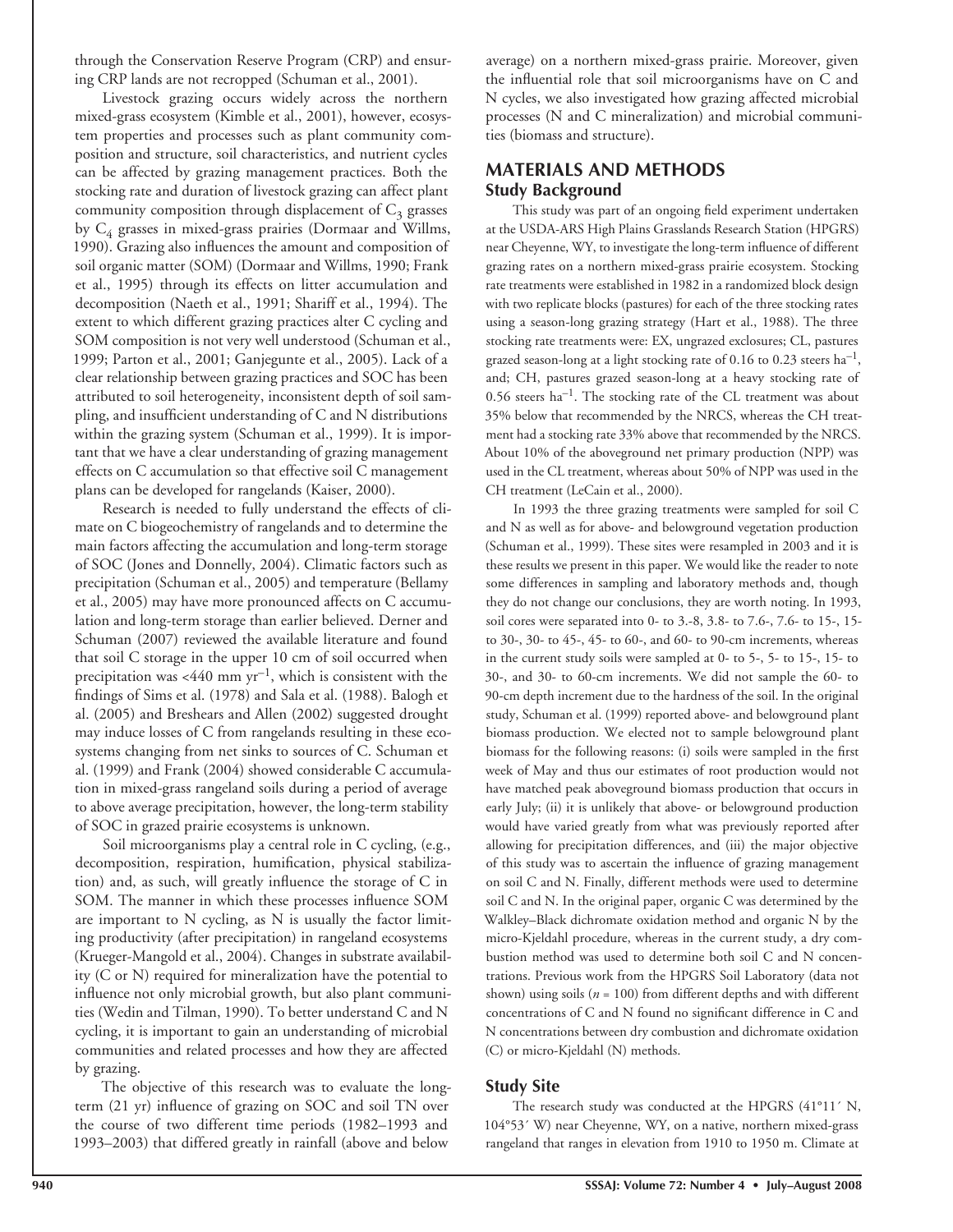through the Conservation Reserve Program (CRP) and ensuring CRP lands are not recropped (Schuman et al., 2001).

Livestock grazing occurs widely across the northern mixed-grass ecosystem (Kimble et al., 2001), however, ecosystem properties and processes such as plant community composition and structure, soil characteristics, and nutrient cycles can be affected by grazing management practices. Both the stocking rate and duration of livestock grazing can affect plant community composition through displacement of  $C_3$  grasses by  $C_4$  grasses in mixed-grass prairies (Dormaar and Willms, 1990). Grazing also influences the amount and composition of soil organic matter (SOM) (Dormaar and Willms, 1990; Frank et al., 1995) through its effects on litter accumulation and decomposition (Naeth et al., 1991; Shariff et al., 1994). The extent to which different grazing practices alter C cycling and SOM composition is not very well understood (Schuman et al., 1999; Parton et al., 2001; Ganjegunte et al., 2005). Lack of a clear relationship between grazing practices and SOC has been attributed to soil heterogeneity, inconsistent depth of soil sampling, and insufficient understanding of  $C$  and  $N$  distributions within the grazing system (Schuman et al., 1999). It is important that we have a clear understanding of grazing management effects on C accumulation so that effective soil C management plans can be developed for rangelands (Kaiser, 2000).

Research is needed to fully understand the effects of climate on C biogeochemistry of rangelands and to determine the main factors affecting the accumulation and long-term storage of SOC (Jones and Donnelly, 2004). Climatic factors such as precipitation (Schuman et al., 2005) and temperature (Bellamy et al., 2005) may have more pronounced affects on C accumulation and long-term storage than earlier believed. Derner and Schuman (2007) reviewed the available literature and found that soil C storage in the upper 10 cm of soil occurred when precipitation was  $<440$  mm yr<sup>-1</sup>, which is consistent with the findings of Sims et al. (1978) and Sala et al. (1988). Balogh et al. (2005) and Breshears and Allen (2002) suggested drought may induce losses of C from rangelands resulting in these ecosystems changing from net sinks to sources of C. Schuman et al. (1999) and Frank (2004) showed considerable C accumulation in mixed-grass rangeland soils during a period of average to above average precipitation, however, the long-term stability of SOC in grazed prairie ecosystems is unknown.

Soil microorganisms play a central role in C cycling, (e.g., decomposition, respiration, humification, physical stabilization) and, as such, will greatly influence the storage of  $C$  in SOM. The manner in which these processes influence SOM are important to N cycling, as N is usually the factor limiting productivity (after precipitation) in rangeland ecosystems (Krueger-Mangold et al., 2004). Changes in substrate availability (C or N) required for mineralization have the potential to influence not only microbial growth, but also plant communities (Wedin and Tilman, 1990). To better understand C and N cycling, it is important to gain an understanding of microbial communities and related processes and how they are affected by grazing.

The objective of this research was to evaluate the longterm (21 yr) influence of grazing on SOC and soil TN over the course of two different time periods (1982–1993 and 1993–2003) that differed greatly in rainfall (above and below

average) on a northern mixed-grass prairie. Moreover, given the influential role that soil microorganisms have on  $C$  and N cycles, we also investigated how grazing affected microbial processes (N and C mineralization) and microbial communities (biomass and structure).

## **MATERIALS AND METHODS Study Background**

This study was part of an ongoing field experiment undertaken at the USDA-ARS High Plains Grasslands Research Station (HPGRS) near Cheyenne, WY, to investigate the long-term influence of different grazing rates on a northern mixed-grass prairie ecosystem. Stocking rate treatments were established in 1982 in a randomized block design with two replicate blocks (pastures) for each of the three stocking rates using a season-long grazing strategy (Hart et al., 1988). The three stocking rate treatments were: EX, ungrazed exclosures; CL, pastures grazed season-long at a light stocking rate of 0.16 to 0.23 steers ha–1, and; CH, pastures grazed season-long at a heavy stocking rate of  $0.56$  steers ha<sup>-1</sup>. The stocking rate of the CL treatment was about 35% below that recommended by the NRCS, whereas the CH treatment had a stocking rate 33% above that recommended by the NRCS. About 10% of the aboveground net primary production (NPP) was used in the CL treatment, whereas about 50% of NPP was used in the CH treatment (LeCain et al., 2000).

In 1993 the three grazing treatments were sampled for soil C and N as well as for above- and belowground vegetation production (Schuman et al., 1999). These sites were resampled in 2003 and it is these results we present in this paper. We would like the reader to note some differences in sampling and laboratory methods and, though they do not change our conclusions, they are worth noting. In 1993, soil cores were separated into 0- to 3.-8, 3.8- to 7.6-, 7.6- to 15-, 15 to 30-, 30- to 45-, 45- to 60-, and 60- to 90-cm increments, whereas in the current study soils were sampled at 0- to 5-, 5- to 15-, 15- to 30-, and 30- to 60-cm increments. We did not sample the 60- to 90-cm depth increment due to the hardness of the soil. In the original study, Schuman et al. (1999) reported above- and belowground plant biomass production. We elected not to sample belowground plant biomass for the following reasons: (i) soils were sampled in the first week of May and thus our estimates of root production would not have matched peak aboveground biomass production that occurs in early July; (ii) it is unlikely that above- or belowground production would have varied greatly from what was previously reported after allowing for precipitation differences, and (iii) the major objective of this study was to ascertain the influence of grazing management on soil C and N. Finally, different methods were used to determine soil C and N. In the original paper, organic C was determined by the Walkley–Black dichromate oxidation method and organic N by the micro-Kjeldahl procedure, whereas in the current study, a dry combustion method was used to determine both soil C and N concentrations. Previous work from the HPGRS Soil Laboratory (data not shown) using soils (*n* = 100) from different depths and with different concentrations of  $C$  and  $N$  found no significant difference in  $C$  and N concentrations between dry combustion and dichromate oxidation (C) or micro-Kjeldahl (N) methods.

## **Study Site**

The research study was conducted at the HPGRS (41°11´ N, 104°53´ W) near Cheyenne, WY, on a native, northern mixed-grass rangeland that ranges in elevation from 1910 to 1950 m. Climate at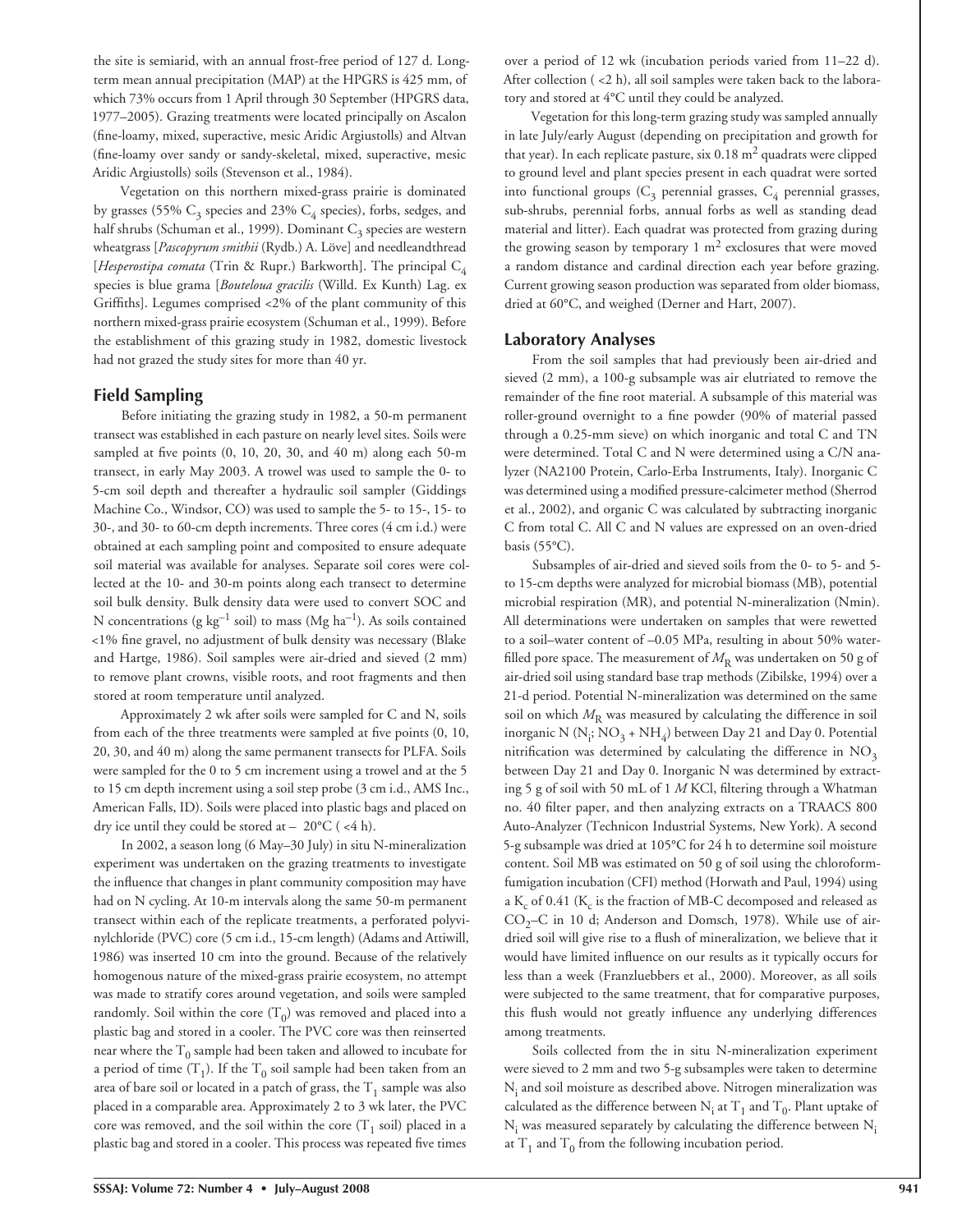the site is semiarid, with an annual frost-free period of 127 d. Longterm mean annual precipitation (MAP) at the HPGRS is 425 mm, of which 73% occurs from 1 April through 30 September (HPGRS data, 1977–2005). Grazing treatments were located principally on Ascalon (fine-loamy, mixed, superactive, mesic Aridic Argiustolls) and Altvan (fine-loamy over sandy or sandy-skeletal, mixed, superactive, mesic Aridic Argiustolls) soils (Stevenson et al., 1984).

Vegetation on this northern mixed-grass prairie is dominated by grasses (55%  $C_3$  species and 23%  $C_4$  species), forbs, sedges, and half shrubs (Schuman et al., 1999). Dominant  $C_3$  species are western wheatgrass [*Pascopyrum smithii* (Rydb.) A. Löve] and needleandthread [*Hesperostipa comata* (Trin & Rupr.) Barkworth]. The principal C<sub>4</sub> species is blue grama [*Bouteloua gracilis* (Willd. Ex Kunth) Lag. ex Griffiths]. Legumes comprised <2% of the plant community of this northern mixed-grass prairie ecosystem (Schuman et al., 1999). Before the establishment of this grazing study in 1982, domestic livestock had not grazed the study sites for more than 40 yr.

#### **Field Sampling**

Before initiating the grazing study in 1982, a 50-m permanent transect was established in each pasture on nearly level sites. Soils were sampled at five points  $(0, 10, 20, 30,$  and  $40$  m) along each 50-m transect, in early May 2003. A trowel was used to sample the 0- to 5-cm soil depth and thereafter a hydraulic soil sampler (Giddings Machine Co., Windsor, CO) was used to sample the 5- to 15-, 15- to 30-, and 30- to 60-cm depth increments. Three cores (4 cm i.d.) were obtained at each sampling point and composited to ensure adequate soil material was available for analyses. Separate soil cores were collected at the 10- and 30-m points along each transect to determine soil bulk density. Bulk density data were used to convert SOC and N concentrations (g  $kg^{-1}$  soil) to mass (Mg  $ha^{-1}$ ). As soils contained <1% fine gravel, no adjustment of bulk density was necessary (Blake and Hartge, 1986). Soil samples were air-dried and sieved (2 mm) to remove plant crowns, visible roots, and root fragments and then stored at room temperature until analyzed.

Approximately 2 wk after soils were sampled for C and N, soils from each of the three treatments were sampled at five points (0, 10, 20, 30, and 40 m) along the same permanent transects for PLFA. Soils were sampled for the 0 to 5 cm increment using a trowel and at the 5 to 15 cm depth increment using a soil step probe (3 cm i.d., AMS Inc., American Falls, ID). Soils were placed into plastic bags and placed on dry ice until they could be stored at – 20°C ( <4 h).

In 2002, a season long (6 May–30 July) in situ N-mineralization experiment was undertaken on the grazing treatments to investigate the influence that changes in plant community composition may have had on N cycling. At 10-m intervals along the same 50-m permanent transect within each of the replicate treatments, a perforated polyvinylchloride (PVC) core (5 cm i.d., 15-cm length) (Adams and Attiwill, 1986) was inserted 10 cm into the ground. Because of the relatively homogenous nature of the mixed-grass prairie ecosystem, no attempt was made to stratify cores around vegetation, and soils were sampled randomly. Soil within the core  $(T_0)$  was removed and placed into a plastic bag and stored in a cooler. The PVC core was then reinserted near where the  $T_0$  sample had been taken and allowed to incubate for a period of time  $(T_1)$ . If the  $T_0$  soil sample had been taken from an area of bare soil or located in a patch of grass, the  $T_1$  sample was also placed in a comparable area. Approximately 2 to 3 wk later, the PVC core was removed, and the soil within the core  $(T_1 \text{ soil})$  placed in a plastic bag and stored in a cooler. This process was repeated five times

over a period of 12 wk (incubation periods varied from 11–22 d). After collection ( <2 h), all soil samples were taken back to the laboratory and stored at 4°C until they could be analyzed.

Vegetation for this long-term grazing study was sampled annually in late July/early August (depending on precipitation and growth for that year). In each replicate pasture, six  $0.18 \text{ m}^2$  quadrats were clipped to ground level and plant species present in each quadrat were sorted into functional groups  $(C_3$  perennial grasses,  $C_4$  perennial grasses, sub-shrubs, perennial forbs, annual forbs as well as standing dead material and litter). Each quadrat was protected from grazing during the growing season by temporary  $1 \text{ m}^2$  exclosures that were moved a random distance and cardinal direction each year before grazing. Current growing season production was separated from older biomass, dried at 60°C, and weighed (Derner and Hart, 2007).

#### **Laboratory Analyses**

From the soil samples that had previously been air-dried and sieved (2 mm), a 100-g subsample was air elutriated to remove the remainder of the fine root material. A subsample of this material was roller-ground overnight to a fine powder (90% of material passed through a 0.25-mm sieve) on which inorganic and total C and TN were determined. Total C and N were determined using a C/N analyzer (NA2100 Protein, Carlo-Erba Instruments, Italy). Inorganic C was determined using a modified pressure-calcimeter method (Sherrod et al., 2002), and organic C was calculated by subtracting inorganic C from total C. All C and N values are expressed on an oven-dried basis (55°C).

Subsamples of air-dried and sieved soils from the 0- to 5- and 5 to 15-cm depths were analyzed for microbial biomass (MB), potential microbial respiration (MR), and potential N-mineralization (Nmin). All determinations were undertaken on samples that were rewetted to a soil–water content of –0.05 MPa, resulting in about 50% waterfilled pore space. The measurement of  $M<sub>R</sub>$  was undertaken on 50 g of air-dried soil using standard base trap methods (Zibilske, 1994) over a 21-d period. Potential N-mineralization was determined on the same soil on which  $M_R$  was measured by calculating the difference in soil inorganic N (N<sub>i</sub>; NO<sub>3</sub> + NH<sub>4</sub>) between Day 21 and Day 0. Potential nitrification was determined by calculating the difference in  $NO<sub>3</sub>$ between Day 21 and Day 0. Inorganic N was determined by extracting 5 g of soil with 50 mL of 1 *M* KCl, filtering through a Whatman no. 40 filter paper, and then analyzing extracts on a TRAACS 800 Auto-Analyzer (Technicon Industrial Systems, New York). A second 5-g subsample was dried at 105°C for 24 h to determine soil moisture content. Soil MB was estimated on 50 g of soil using the chloroformfumigation incubation (CFI) method (Horwath and Paul, 1994) using a  $\text{K}_{\text{c}}$  of 0.41 ( $\text{K}_{\text{c}}$  is the fraction of MB-C decomposed and released as  $CO<sub>2</sub>-C$  in 10 d; Anderson and Domsch, 1978). While use of airdried soil will give rise to a flush of mineralization, we believe that it would have limited influence on our results as it typically occurs for less than a week (Franzluebbers et al., 2000). Moreover, as all soils were subjected to the same treatment, that for comparative purposes, this flush would not greatly influence any underlying differences among treatments.

Soils collected from the in situ N-mineralization experiment were sieved to 2 mm and two 5-g subsamples were taken to determine  $\rm N_i$  and soil moisture as described above. Nitrogen mineralization was calculated as the difference between  $N_i$  at  $T_1$  and  $T_0$ . Plant uptake of  $N_i$  was measured separately by calculating the difference between  $N_i$ at  $T_1$  and  $T_0$  from the following incubation period.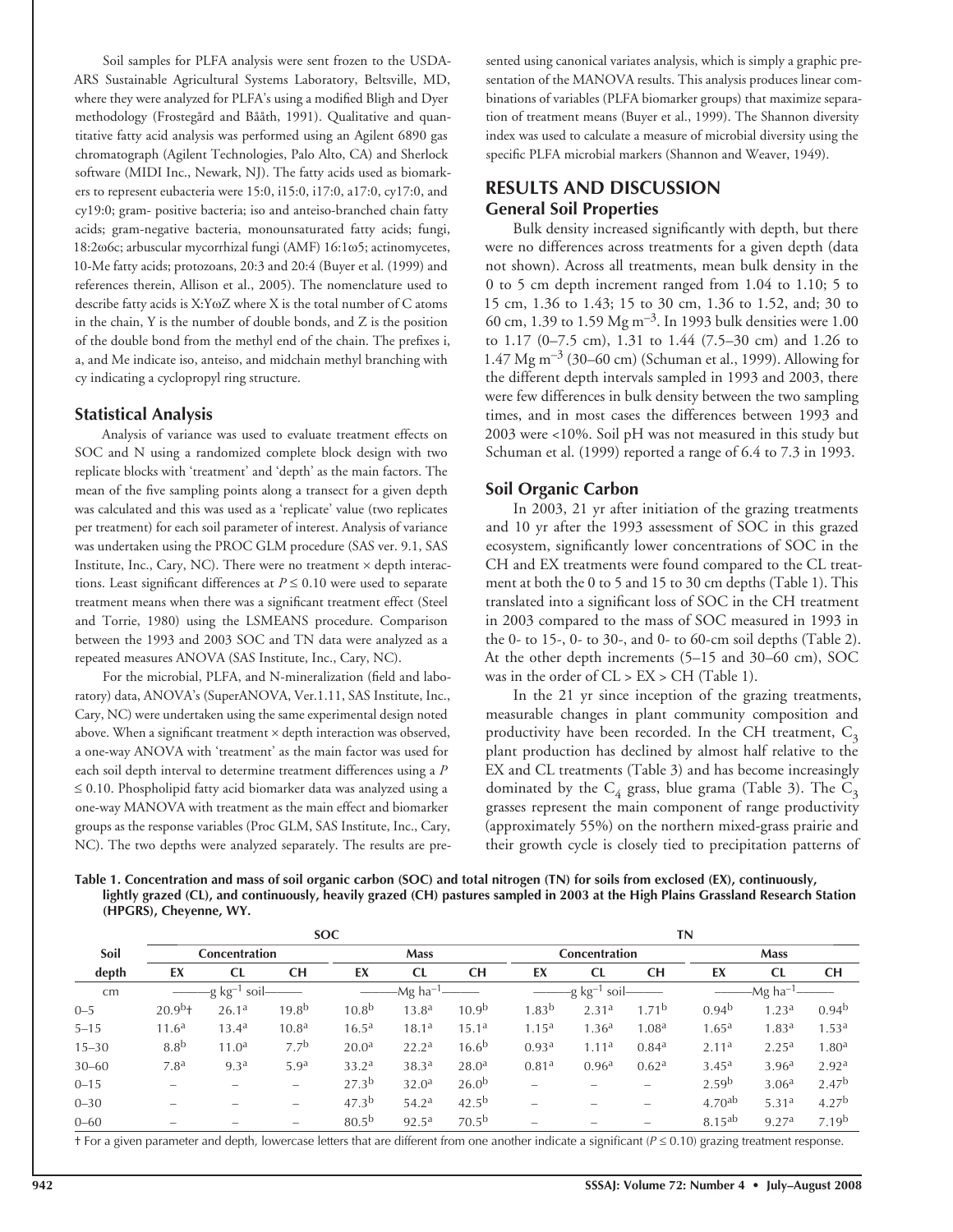Soil samples for PLFA analysis were sent frozen to the USDA-ARS Sustainable Agricultural Systems Laboratory, Beltsville, MD, where they were analyzed for PLFA's using a modified Bligh and Dyer methodology (Frostegård and Bååth, 1991). Qualitative and quantitative fatty acid analysis was performed using an Agilent 6890 gas chromatograph (Agilent Technologies, Palo Alto, CA) and Sherlock software (MIDI Inc., Newark, NJ). The fatty acids used as biomarkers to represent eubacteria were 15:0, i15:0, i17:0, a17:0, cy17:0, and cy19:0; gram- positive bacteria; iso and anteiso-branched chain fatty acids; gram-negative bacteria, monounsaturated fatty acids; fungi, 18:2ω6c; arbuscular mycorrhizal fungi (AMF) 16:1ω5; actinomycetes, 10-Me fatty acids; protozoans, 20:3 and 20:4 (Buyer et al. (1999) and references therein, Allison et al., 2005). The nomenclature used to describe fatty acids is X:YωZ where X is the total number of C atoms in the chain, Y is the number of double bonds, and Z is the position of the double bond from the methyl end of the chain. The prefixes i, a, and Me indicate iso, anteiso, and midchain methyl branching with cy indicating a cyclopropyl ring structure.

#### **Statistical Analysis**

Analysis of variance was used to evaluate treatment effects on SOC and N using a randomized complete block design with two replicate blocks with 'treatment' and 'depth' as the main factors. The mean of the five sampling points along a transect for a given depth was calculated and this was used as a 'replicate' value (two replicates per treatment) for each soil parameter of interest. Analysis of variance was undertaken using the PROC GLM procedure (SAS ver. 9.1, SAS Institute, Inc., Cary, NC). There were no treatment  $\times$  depth interactions. Least significant differences at  $P \leq 0.10$  were used to separate treatment means when there was a significant treatment effect (Steel and Torrie, 1980) using the LSMEANS procedure. Comparison between the 1993 and 2003 SOC and TN data were analyzed as a repeated measures ANOVA (SAS Institute, Inc., Cary, NC).

For the microbial, PLFA, and N-mineralization (field and laboratory) data, ANOVA's (SuperANOVA, Ver.1.11, SAS Institute, Inc., Cary, NC) were undertaken using the same experimental design noted above. When a significant treatment  $\times$  depth interaction was observed, a one-way ANOVA with 'treatment' as the main factor was used for each soil depth interval to determine treatment differences using a *P* ≤ 0.10. Phospholipid fatty acid biomarker data was analyzed using a one-way MANOVA with treatment as the main effect and biomarker groups as the response variables (Proc GLM, SAS Institute, Inc., Cary, NC). The two depths were analyzed separately. The results are presented using canonical variates analysis, which is simply a graphic presentation of the MANOVA results. This analysis produces linear combinations of variables (PLFA biomarker groups) that maximize separation of treatment means (Buyer et al., 1999). The Shannon diversity index was used to calculate a measure of microbial diversity using the specific PLFA microbial markers (Shannon and Weaver, 1949).

## **RESULTS AND DISCUSSION General Soil Properties**

Bulk density increased significantly with depth, but there were no differences across treatments for a given depth (data not shown). Across all treatments, mean bulk density in the 0 to 5 cm depth increment ranged from 1.04 to 1.10; 5 to 15 cm, 1.36 to 1.43; 15 to 30 cm, 1.36 to 1.52, and; 30 to 60 cm, 1.39 to 1.59 Mg  $\text{m}^{-3}$ . In 1993 bulk densities were 1.00 to 1.17 (0–7.5 cm), 1.31 to 1.44 (7.5–30 cm) and 1.26 to 1.47  $Mg$  m<sup>-3</sup> (30–60 cm) (Schuman et al., 1999). Allowing for the different depth intervals sampled in 1993 and 2003, there were few differences in bulk density between the two sampling times, and in most cases the differences between 1993 and 2003 were <10%. Soil pH was not measured in this study but Schuman et al. (1999) reported a range of 6.4 to 7.3 in 1993.

#### **Soil Organic Carbon**

In 2003, 21 yr after initiation of the grazing treatments and 10 yr after the 1993 assessment of SOC in this grazed ecosystem, significantly lower concentrations of SOC in the CH and EX treatments were found compared to the CL treatment at both the 0 to 5 and 15 to 30 cm depths (Table 1). This translated into a significant loss of SOC in the CH treatment in 2003 compared to the mass of SOC measured in 1993 in the 0- to 15-, 0- to 30-, and 0- to 60-cm soil depths (Table 2). At the other depth increments (5–15 and 30–60 cm), SOC was in the order of  $CL > EX > CH$  (Table 1).

In the 21 yr since inception of the grazing treatments, measurable changes in plant community composition and productivity have been recorded. In the CH treatment,  $C_3$ plant production has declined by almost half relative to the EX and CL treatments (Table 3) and has become increasingly dominated by the  $C_4$  grass, blue grama (Table 3). The  $C_3$ grasses represent the main component of range productivity (approximately 55%) on the northern mixed-grass prairie and their growth cycle is closely tied to precipitation patterns of

| Table 1. Concentration and mass of soil organic carbon (SOC) and total nitrogen (TN) for soils from exclosed (EX), continuously,  |  |
|-----------------------------------------------------------------------------------------------------------------------------------|--|
| lightly grazed (CL), and continuously, heavily grazed (CH) pastures sampled in 2003 at the High Plains Grassland Research Station |  |
| (HPGRS), Cheyenne, WY.                                                                                                            |  |

|           | <b>SOC</b>                          |                   |                          |                      |                   | ΤN                          |                   |                   |                          |                    |                   |                   |
|-----------|-------------------------------------|-------------------|--------------------------|----------------------|-------------------|-----------------------------|-------------------|-------------------|--------------------------|--------------------|-------------------|-------------------|
| Soil      | <b>Mass</b><br><b>Concentration</b> |                   | <b>Concentration</b>     |                      |                   | <b>Mass</b>                 |                   |                   |                          |                    |                   |                   |
| depth     | EX                                  | <b>CL</b>         | <b>CH</b>                | EX                   | CL                | <b>CH</b>                   | EX                | <b>CL</b>         | <b>CH</b>                | EX                 | CL                | <b>CH</b>         |
| cm        | -g $kg^{-1}$ soil-                  |                   |                          | -Mg ha <sup>–1</sup> |                   | $-g$ kg <sup>-1</sup> soil- |                   |                   | -Mg ha <sup>–1</sup>     |                    |                   |                   |
| $0 - 5$   | $20.9^{b}$ +                        | 26.1 <sup>a</sup> | 19.8 <sup>b</sup>        | 10.8 <sup>b</sup>    | 13.8 <sup>a</sup> | 10.9 <sup>b</sup>           | $1.83^{b}$        | 2.31 <sup>a</sup> | 1.71 <sup>b</sup>        | 0.94 <sup>b</sup>  | 1.23 <sup>a</sup> | 0.94 <sup>b</sup> |
| $5 - 15$  | 11.6 <sup>a</sup>                   | 13.4 <sup>a</sup> | 10.8 <sup>a</sup>        | 16.5 <sup>a</sup>    | 18.1 <sup>a</sup> | 15.1 <sup>a</sup>           | 1.15 <sup>a</sup> | 1.36 <sup>a</sup> | 1.08 <sup>a</sup>        | 1.65 <sup>a</sup>  | 1.83 <sup>a</sup> | 1.53 <sup>a</sup> |
| $15 - 30$ | 8.8 <sup>b</sup>                    | 11.0 <sup>a</sup> | 7.7 <sup>b</sup>         | 20.0 <sup>a</sup>    | 22.2 <sup>a</sup> | $16.6^{b}$                  | 0.93 <sup>a</sup> | 1.11 <sup>a</sup> | 0.84 <sup>a</sup>        | 2.11 <sup>a</sup>  | 2.25 <sup>a</sup> | 1.80 <sup>a</sup> |
| $30 - 60$ | 7.8 <sup>a</sup>                    | 9.3 <sup>a</sup>  | 5.9 <sup>a</sup>         | 33.2 <sup>a</sup>    | 38.3 <sup>a</sup> | 28.0 <sup>a</sup>           | 0.81 <sup>a</sup> | 0.96 <sup>a</sup> | 0.62 <sup>a</sup>        | 3.45 <sup>a</sup>  | 3.96 <sup>a</sup> | 2.92 <sup>a</sup> |
| $0 - 15$  |                                     |                   | $\overline{\phantom{m}}$ | 27.3 <sup>b</sup>    | 32.0 <sup>a</sup> | $26.0^{b}$                  |                   |                   |                          | 2.59 <sup>b</sup>  | 3.06 <sup>a</sup> | 2.47 <sup>b</sup> |
| $0 - 30$  |                                     |                   | $\hspace{0.05cm}$        | 47.3 <sup>b</sup>    | $54.2^{\rm a}$    | $42.5^{b}$                  |                   |                   | $\overline{\phantom{0}}$ | 4.70 <sup>ab</sup> | 5.31 <sup>a</sup> | 4.27 <sup>b</sup> |
| $0 - 60$  |                                     |                   | $\hspace{0.05cm}$        | $80.5^{b}$           | $92.5^{\text{a}}$ | 70.5 <sup>b</sup>           |                   |                   |                          | 8.15 <sup>ab</sup> | 9.27 <sup>a</sup> | 7.19 <sup>b</sup> |

† For a given parameter and depth, lowercase letters that are different from one another indicate a signifi cant (*P* ≤ 0.10) grazing treatment response.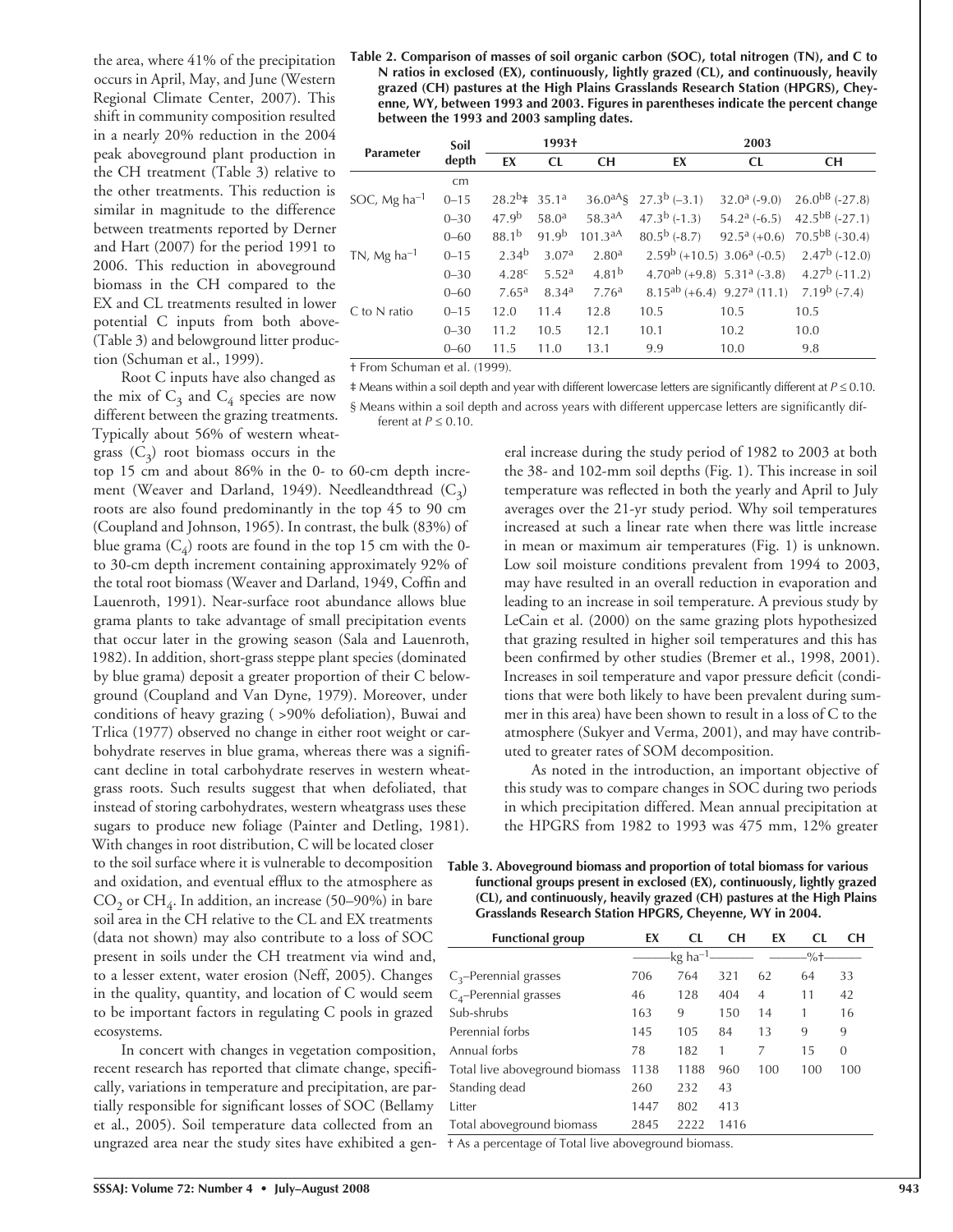the area, where 41% of the precipitation occurs in April, May, and June (Western Regional Climate Center, 2007). This shift in community composition resulted in a nearly 20% reduction in the 2004 peak aboveground plant production in the CH treatment (Table 3) relative to the other treatments. This reduction is similar in magnitude to the difference between treatments reported by Derner and Hart (2007) for the period 1991 to 2006. This reduction in aboveground biomass in the CH compared to the EX and CL treatments resulted in lower potential C inputs from both above- (Table 3) and belowground litter production (Schuman et al., 1999).

Root C inputs have also changed as the mix of  $C_3$  and  $C_4$  species are now different between the grazing treatments. Typically about 56% of western wheatgrass  $(C_3)$  root biomass occurs in the top 15 cm and about 86% in the 0- to 60-cm depth incre-

ment (Weaver and Darland, 1949). Needleandthread  $(C_3)$ roots are also found predominantly in the top 45 to 90 cm (Coupland and Johnson, 1965). In contrast, the bulk (83%) of blue grama  $(C_4)$  roots are found in the top 15 cm with the 0to 30-cm depth increment containing approximately 92% of the total root biomass (Weaver and Darland, 1949, Coffin and Lauenroth, 1991). Near-surface root abundance allows blue grama plants to take advantage of small precipitation events that occur later in the growing season (Sala and Lauenroth, 1982). In addition, short-grass steppe plant species (dominated by blue grama) deposit a greater proportion of their C belowground (Coupland and Van Dyne, 1979). Moreover, under conditions of heavy grazing ( >90% defoliation), Buwai and Trlica (1977) observed no change in either root weight or carbohydrate reserves in blue grama, whereas there was a significant decline in total carbohydrate reserves in western wheatgrass roots. Such results suggest that when defoliated, that instead of storing carbohydrates, western wheatgrass uses these sugars to produce new foliage (Painter and Detling, 1981). With changes in root distribution, C will be located closer to the soil surface where it is vulnerable to decomposition and oxidation, and eventual efflux to the atmosphere as  $CO<sub>2</sub>$  or  $CH<sub>4</sub>$ . In addition, an increase (50–90%) in bare soil area in the CH relative to the CL and EX treatments (data not shown) may also contribute to a loss of SOC present in soils under the CH treatment via wind and, to a lesser extent, water erosion (Neff, 2005). Changes in the quality, quantity, and location of  $C$  would seem to be important factors in regulating C pools in grazed ecosystems.

In concert with changes in vegetation composition, recent research has reported that climate change, specifically, variations in temperature and precipitation, are partially responsible for significant losses of SOC (Bellamy et al., 2005). Soil temperature data collected from an ungrazed area near the study sites have exhibited a gen-† As a percentage of Total live aboveground biomass.

**Table 2. Comparison of masses of soil organic carbon (SOC), total nitrogen (TN), and C to N ratios in exclosed (EX), continuously, lightly grazed (CL), and continuously, heavily grazed (CH) pastures at the High Plains Grasslands Research Station (HPGRS), Cheyenne, WY, between 1993 and 2003. Figures in parentheses indicate the percent change between the 1993 and 2003 sampling dates.**

| Parameter                | Soil     | 1993†                      |                   |                   | 2003                                         |                                                                             |                        |  |
|--------------------------|----------|----------------------------|-------------------|-------------------|----------------------------------------------|-----------------------------------------------------------------------------|------------------------|--|
|                          | depth    | EX                         | CL                | <b>CH</b>         | EX                                           | CL                                                                          | <b>CH</b>              |  |
|                          | cm       |                            |                   |                   |                                              |                                                                             |                        |  |
| SOC, Mg ha <sup>-1</sup> | $0 - 15$ | $28.2^{b}$ $\neq 35.1^{a}$ |                   |                   | $36.0^{aA}$ § 27.3 <sup>b</sup> (-3.1)       | $32.0^{\mathrm{a}}$ (-9.0)                                                  | $26.0^{b}$ (-27.8)     |  |
|                          | $0 - 30$ | 47.9 <sup>b</sup>          | 58.0 <sup>a</sup> | 58.3aA            | $47.3^b$ (-1.3)                              | $54.2^{\rm a}$ (-6.5)                                                       | $42.5^{bB}$ (-27.1)    |  |
|                          | $0 - 60$ | $88.1^{b}$                 | 91.9 <sup>b</sup> | 101.3aA           | $80.5^{\rm b}$ (-8.7)                        | $92.5^{\mathrm{a}}$ (+0.6)                                                  | $70.5^{bB}$ (-30.4)    |  |
| TN, Mg ha $^{-1}$        | $0 - 15$ | 2.34 <sup>b</sup>          | 3.07a             | 2.80 <sup>a</sup> | $2.59^{\rm b}$ (+10.5) $3.06^{\rm a}$ (-0.5) |                                                                             | $2.47^{\rm b}$ (-12.0) |  |
|                          | $0 - 30$ | 4.28 <sup>c</sup>          | 5.52 <sup>a</sup> | $4.81^{b}$        |                                              | $4.70^{ab}$ (+9.8) $5.31^{a}$ (-3.8)                                        | $4.27^b$ (-11.2)       |  |
|                          | $0 - 60$ | 7.65 <sup>a</sup>          | 8.34 <sup>a</sup> | 7.76 <sup>a</sup> |                                              | 8.15 <sup>ab</sup> (+6.4) 9.27 <sup>a</sup> (11.1) 7.19 <sup>b</sup> (-7.4) |                        |  |
| C to N ratio             | $0 - 15$ | 12.0                       | 11.4              | 12.8              | 10.5                                         | 10.5                                                                        | 10.5                   |  |
|                          | $0 - 30$ | 11.2                       | 10.5              | 12.1              | 10.1                                         | 10.2                                                                        | 10.0                   |  |
|                          | $0 - 60$ | 11.5                       | 11.0              | 13.1              | 9.9                                          | 10.0                                                                        | 9.8                    |  |

† From Schuman et al. (1999).

‡ Means within a soil depth and year with different lowercase letters are signifi cantly different at *P* ≤ 0.10. § Means within a soil depth and across years with different uppercase letters are significantly different at *P* ≤ 0.10.

> eral increase during the study period of 1982 to 2003 at both the 38- and 102-mm soil depths (Fig. 1). This increase in soil temperature was reflected in both the yearly and April to July averages over the 21-yr study period. Why soil temperatures increased at such a linear rate when there was little increase in mean or maximum air temperatures (Fig. 1) is unknown. Low soil moisture conditions prevalent from 1994 to 2003, may have resulted in an overall reduction in evaporation and leading to an increase in soil temperature. A previous study by LeCain et al. (2000) on the same grazing plots hypothesized that grazing resulted in higher soil temperatures and this has been confirmed by other studies (Bremer et al., 1998, 2001). Increases in soil temperature and vapor pressure deficit (conditions that were both likely to have been prevalent during summer in this area) have been shown to result in a loss of C to the atmosphere (Sukyer and Verma, 2001), and may have contributed to greater rates of SOM decomposition.

> As noted in the introduction, an important objective of this study was to compare changes in SOC during two periods in which precipitation differed. Mean annual precipitation at the HPGRS from 1982 to 1993 was 475 mm, 12% greater

**Table 3. Aboveground biomass and proportion of total biomass for various functional groups present in exclosed (EX), continuously, lightly grazed (CL), and continuously, heavily grazed (CH) pastures at the High Plains Grasslands Research Station HPGRS, Cheyenne, WY in 2004.**

| EX   | CL.  | <b>CH</b>            | EX             | CL.            | CН       |
|------|------|----------------------|----------------|----------------|----------|
|      |      |                      |                | $-\frac{9}{6}$ |          |
| 706  | 764  | 321                  | 62             | 64             | 33       |
| 46   | 128  | 404                  | $\overline{4}$ | 11             | 42       |
| 163  | 9    | 150                  | 14             | 1              | 16       |
| 145  | 105  | 84                   | 13             | 9              | 9        |
| 78   | 182  | 1                    | 7              | 15             | $\Omega$ |
| 1138 | 1188 | 960                  | 100            | 100            | 100      |
| 260  | 232  | 43                   |                |                |          |
| 1447 | 802  | 413                  |                |                |          |
| 2845 | 2222 | 1416                 |                |                |          |
|      |      | -kg ha <sup>-1</sup> |                |                |          |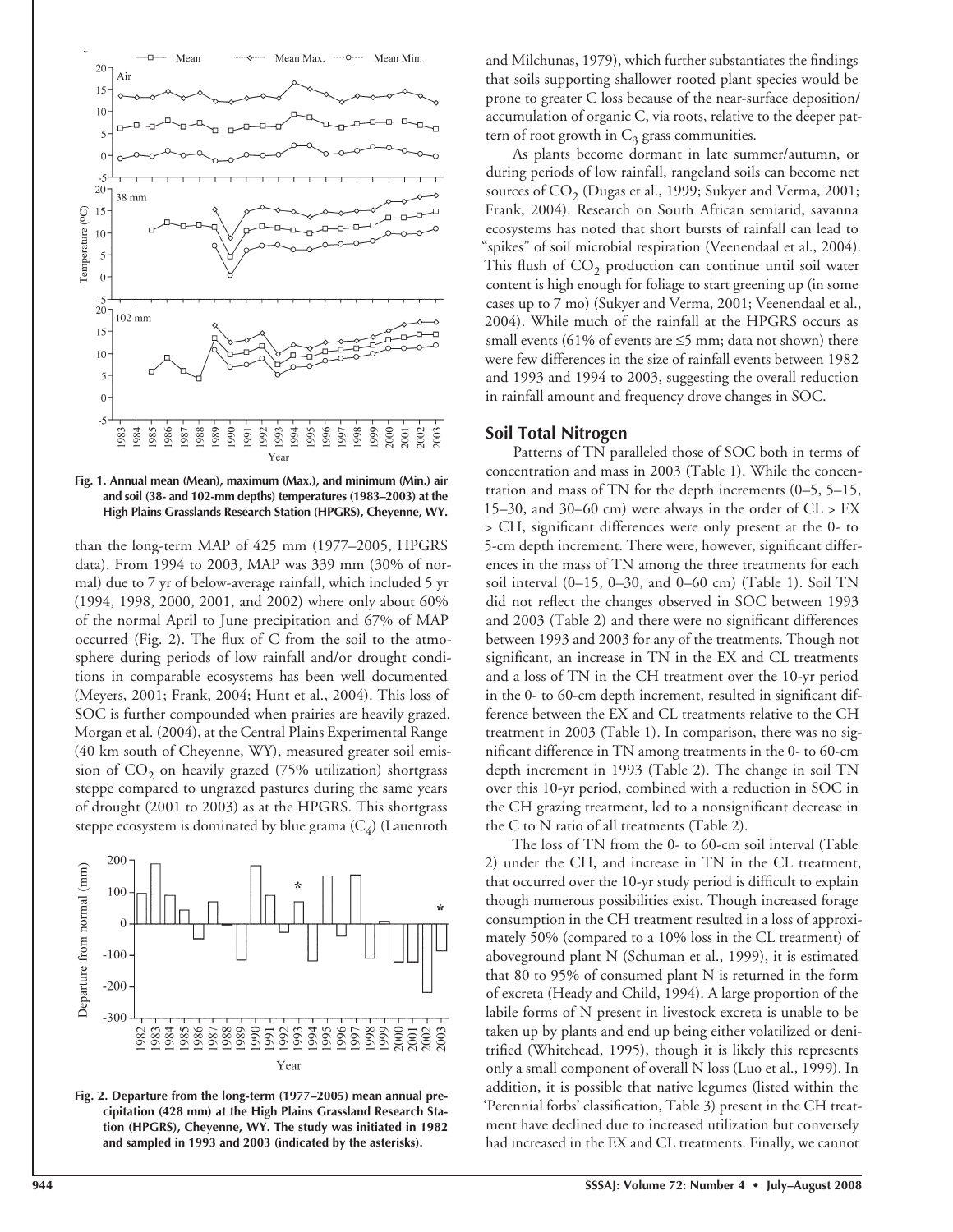

**Fig. 1. Annual mean (Mean), maximum (Max.), and minimum (Min.) air and soil (38- and 102-mm depths) temperatures (1983–2003) at the High Plains Grasslands Research Station (HPGRS), Cheyenne, WY.**

than the long-term MAP of 425 mm (1977–2005, HPGRS data). From 1994 to 2003, MAP was 339 mm (30% of normal) due to 7 yr of below-average rainfall, which included 5 yr (1994, 1998, 2000, 2001, and 2002) where only about 60% of the normal April to June precipitation and 67% of MAP occurred (Fig. 2). The flux of  $C$  from the soil to the atmosphere during periods of low rainfall and/or drought conditions in comparable ecosystems has been well documented (Meyers, 2001; Frank, 2004; Hunt et al., 2004). This loss of SOC is further compounded when prairies are heavily grazed. Morgan et al. (2004), at the Central Plains Experimental Range (40 km south of Cheyenne, WY), measured greater soil emission of  $CO<sub>2</sub>$  on heavily grazed (75% utilization) shortgrass steppe compared to ungrazed pastures during the same years of drought (2001 to 2003) as at the HPGRS. This shortgrass steppe ecosystem is dominated by blue grama  $(C_4)$  (Lauenroth



**Fig. 2. Departure from the long-term (1977–2005) mean annual precipitation (428 mm) at the High Plains Grassland Research Station (HPGRS), Cheyenne, WY. The study was initiated in 1982 and sampled in 1993 and 2003 (indicated by the asterisks).**

and Milchunas, 1979), which further substantiates the findings that soils supporting shallower rooted plant species would be prone to greater C loss because of the near-surface deposition/ accumulation of organic C, via roots, relative to the deeper pattern of root growth in  $C_3$  grass communities.

As plants become dormant in late summer/autumn, or during periods of low rainfall, rangeland soils can become net sources of  $CO<sub>2</sub>$  (Dugas et al., 1999; Sukyer and Verma, 2001; Frank, 2004). Research on South African semiarid, savanna ecosystems has noted that short bursts of rainfall can lead to "spikes" of soil microbial respiration (Veenendaal et al., 2004). This flush of  $CO<sub>2</sub>$  production can continue until soil water content is high enough for foliage to start greening up (in some cases up to 7 mo) (Sukyer and Verma, 2001; Veenendaal et al., 2004). While much of the rainfall at the HPGRS occurs as small events (61% of events are  $\leq$ 5 mm; data not shown) there were few differences in the size of rainfall events between 1982 and 1993 and 1994 to 2003, suggesting the overall reduction in rainfall amount and frequency drove changes in SOC.

#### **Soil Total Nitrogen**

Patterns of TN paralleled those of SOC both in terms of concentration and mass in 2003 (Table 1). While the concentration and mass of TN for the depth increments (0–5, 5–15, 15–30, and 30–60 cm) were always in the order of  $CL > EX$ > CH, significant differences were only present at the 0- to 5-cm depth increment. There were, however, significant differences in the mass of TN among the three treatments for each soil interval (0–15, 0–30, and 0–60 cm) (Table 1). Soil TN did not reflect the changes observed in SOC between 1993 and 2003 (Table 2) and there were no significant differences between 1993 and 2003 for any of the treatments. Though not significant, an increase in TN in the EX and CL treatments and a loss of TN in the CH treatment over the 10-yr period in the 0- to 60-cm depth increment, resulted in significant difference between the EX and CL treatments relative to the CH treatment in 2003 (Table 1). In comparison, there was no significant difference in TN among treatments in the 0- to 60-cm depth increment in 1993 (Table 2). The change in soil TN over this 10-yr period, combined with a reduction in SOC in the CH grazing treatment, led to a nonsignificant decrease in the C to N ratio of all treatments (Table 2).

The loss of TN from the 0- to 60-cm soil interval (Table 2) under the CH, and increase in TN in the CL treatment, that occurred over the 10-yr study period is difficult to explain though numerous possibilities exist. Though increased forage consumption in the CH treatment resulted in a loss of approximately 50% (compared to a 10% loss in the CL treatment) of aboveground plant N (Schuman et al., 1999), it is estimated that 80 to 95% of consumed plant N is returned in the form of excreta (Heady and Child, 1994). A large proportion of the labile forms of N present in livestock excreta is unable to be taken up by plants and end up being either volatilized or denitrified (Whitehead, 1995), though it is likely this represents only a small component of overall N loss (Luo et al., 1999). In addition, it is possible that native legumes (listed within the 'Perennial forbs' classification, Table 3) present in the CH treatment have declined due to increased utilization but conversely had increased in the EX and CL treatments. Finally, we cannot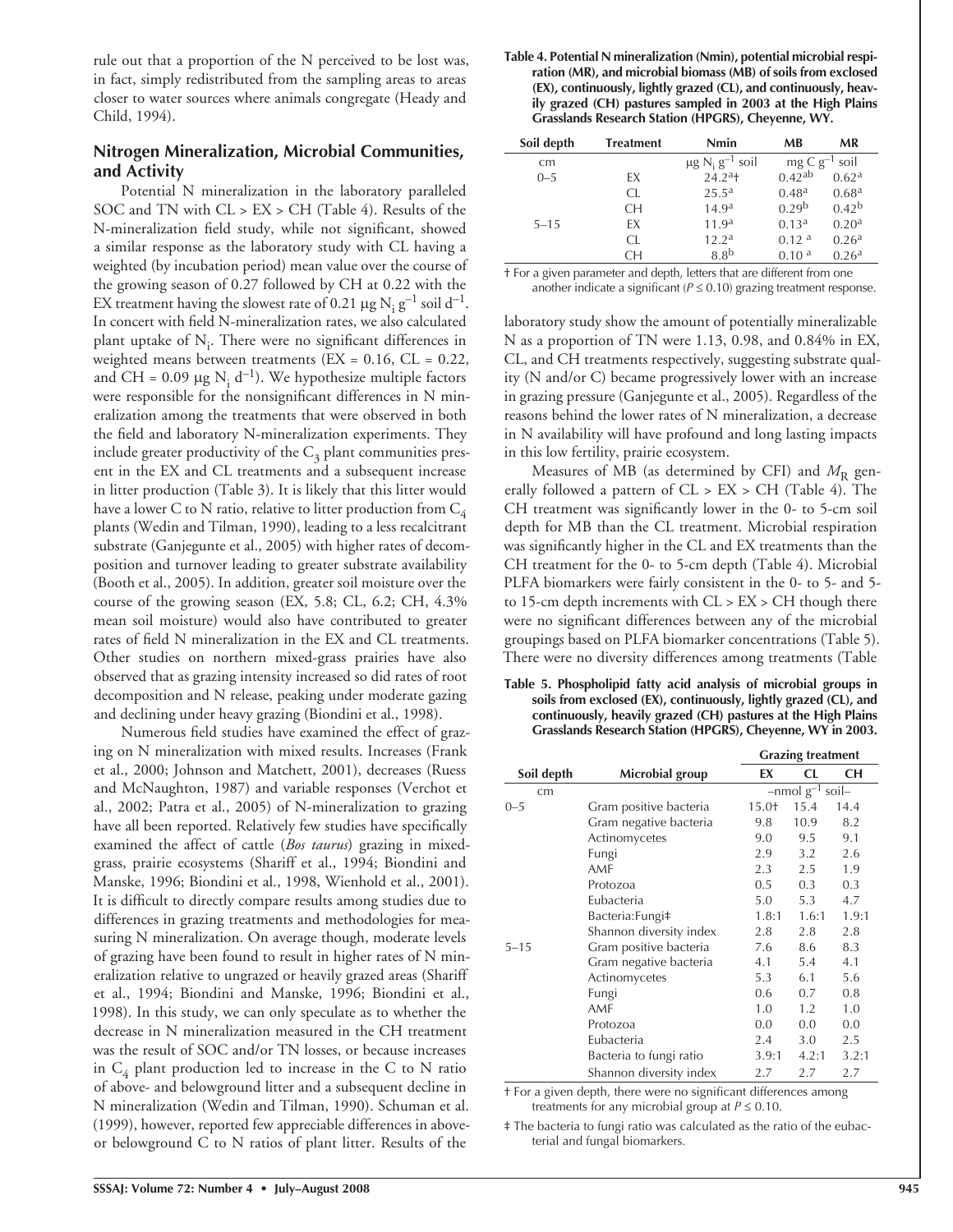rule out that a proportion of the N perceived to be lost was, in fact, simply redistributed from the sampling areas to areas closer to water sources where animals congregate (Heady and Child, 1994).

## **Nitrogen Mineralization, Microbial Communities, and Activity**

Potential N mineralization in the laboratory paralleled SOC and TN with CL > EX > CH (Table 4). Results of the N-mineralization field study, while not significant, showed a similar response as the laboratory study with CL having a weighted (by incubation period) mean value over the course of the growing season of 0.27 followed by CH at 0.22 with the EX treatment having the slowest rate of 0.21 µg  $N_i g^{-1}$  soil d<sup>-1</sup>. In concert with field N-mineralization rates, we also calculated plant uptake of  $N_i$ . There were no significant differences in weighted means between treatments (EX = 0.16, CL = 0.22, and CH = 0.09  $\mu$ g N<sub>i</sub> d<sup>-1</sup>). We hypothesize multiple factors were responsible for the nonsignificant differences in  $N$  mineralization among the treatments that were observed in both the field and laboratory N-mineralization experiments. They include greater productivity of the  $C_3$  plant communities present in the EX and CL treatments and a subsequent increase in litter production (Table 3). It is likely that this litter would have a lower C to N ratio, relative to litter production from  $C_4$ plants (Wedin and Tilman, 1990), leading to a less recalcitrant substrate (Ganjegunte et al., 2005) with higher rates of decomposition and turnover leading to greater substrate availability (Booth et al., 2005). In addition, greater soil moisture over the course of the growing season (EX, 5.8; CL, 6.2; CH, 4.3% mean soil moisture) would also have contributed to greater rates of field N mineralization in the EX and CL treatments. Other studies on northern mixed-grass prairies have also observed that as grazing intensity increased so did rates of root decomposition and N release, peaking under moderate gazing and declining under heavy grazing (Biondini et al., 1998).

Numerous field studies have examined the effect of grazing on N mineralization with mixed results. Increases (Frank et al., 2000; Johnson and Matchett, 2001), decreases (Ruess and McNaughton, 1987) and variable responses (Verchot et al., 2002; Patra et al., 2005) of N-mineralization to grazing have all been reported. Relatively few studies have specifically examined the affect of cattle (*Bos taurus*) grazing in mixedgrass, prairie ecosystems (Shariff et al., 1994; Biondini and Manske, 1996; Biondini et al., 1998, Wienhold et al., 2001). It is difficult to directly compare results among studies due to differences in grazing treatments and methodologies for measuring N mineralization. On average though, moderate levels of grazing have been found to result in higher rates of N mineralization relative to ungrazed or heavily grazed areas (Shariff et al., 1994; Biondini and Manske, 1996; Biondini et al., 1998). In this study, we can only speculate as to whether the decrease in N mineralization measured in the CH treatment was the result of SOC and/or TN losses, or because increases in  $C_4$  plant production led to increase in the C to N ratio of above- and belowground litter and a subsequent decline in N mineralization (Wedin and Tilman, 1990). Schuman et al. (1999), however, reported few appreciable differences in aboveor belowground C to N ratios of plant litter. Results of the

| Soil depth | <b>Treatment</b> | Nmin                                        | МB                          | MR                |
|------------|------------------|---------------------------------------------|-----------------------------|-------------------|
| cm         |                  | $\mu$ g N <sub>i</sub> g <sup>-1</sup> soil | mg $C$ g <sup>-1</sup> soil |                   |
| $0 - 5$    | FХ               | $24.2^{a}$ +                                | 0.42ab                      | 0.62 <sup>a</sup> |
|            | CL.              | 25.5 <sup>a</sup>                           | 0.48 <sup>a</sup>           | 0.68 <sup>a</sup> |
|            | CH.              | 14.9 <sup>a</sup>                           | 0.29 <sup>b</sup>           | 0.42 <sup>b</sup> |
| $5 - 15$   | FХ               | 11.9 <sup>a</sup>                           | 0.13 <sup>a</sup>           | 0.20 <sup>a</sup> |
|            | CL.              | 12.2 <sup>a</sup>                           | 0.12 <sup>a</sup>           | 0.26 <sup>a</sup> |
|            | CН               | 8.8 <sup>b</sup>                            | 0.10 <sup>a</sup>           | 0.26 <sup>a</sup> |

† For a given parameter and depth, letters that are different from one another indicate a significant ( $P \le 0.10$ ) grazing treatment response.

laboratory study show the amount of potentially mineralizable N as a proportion of TN were 1.13, 0.98, and 0.84% in EX, CL, and CH treatments respectively, suggesting substrate quality (N and/or C) became progressively lower with an increase in grazing pressure (Ganjegunte et al., 2005). Regardless of the reasons behind the lower rates of N mineralization, a decrease in N availability will have profound and long lasting impacts in this low fertility, prairie ecosystem.

Measures of MB (as determined by CFI) and  $M<sub>R</sub>$  generally followed a pattern of  $CL > EX > CH$  (Table 4). The CH treatment was significantly lower in the 0- to 5-cm soil depth for MB than the CL treatment. Microbial respiration was significantly higher in the CL and EX treatments than the CH treatment for the 0- to 5-cm depth (Table 4). Microbial PLFA biomarkers were fairly consistent in the 0- to 5- and 5 to 15-cm depth increments with  $CL > EX > CH$  though there were no significant differences between any of the microbial groupings based on PLFA biomarker concentrations (Table 5). There were no diversity differences among treatments (Table

**Table 5. Phospholipid fatty acid analysis of microbial groups in soils from exclosed (EX), continuously, lightly grazed (CL), and continuously, heavily grazed (CH) pastures at the High Plains Grasslands Research Station (HPGRS), Cheyenne, WY in 2003.**

|            |                         | <b>Grazing treatment</b>       |       |           |  |
|------------|-------------------------|--------------------------------|-------|-----------|--|
| Soil depth | Microbial group         | EX                             | CL    | <b>CH</b> |  |
| cm         |                         | $-$ nmol g <sup>-1</sup> soil- |       |           |  |
| $0 - 5$    | Gram positive bacteria  | $15.0+$                        | 15.4  | 14.4      |  |
|            | Gram negative bacteria  | 9.8                            | 10.9  | 8.2       |  |
|            | Actinomycetes           | 9.0                            | 9.5   | 9.1       |  |
|            | Fungi                   | 2.9                            | 3.2   | 2.6       |  |
|            | AMF                     | 2.3                            | 2.5   | 1.9       |  |
|            | Protozoa                | 0.5                            | 0.3   | 0.3       |  |
|            | Eubacteria              | 5.0                            | 5.3   | 4.7       |  |
|            | Bacteria: Fungi‡        | 1.8:1                          | 1.6:1 | 1.9:1     |  |
|            | Shannon diversity index | 2.8                            | 2.8   | 2.8       |  |
| $5 - 15$   | Gram positive bacteria  | 7.6                            | 8.6   | 8.3       |  |
|            | Gram negative bacteria  | 4.1                            | 5.4   | 4.1       |  |
|            | Actinomycetes           | 5.3                            | 6.1   | 5.6       |  |
|            | Fungi                   | 0.6                            | 0.7   | 0.8       |  |
|            | AMF                     | 1.0                            | 1.2   | 1.0       |  |
|            | Protozoa                | 0.0                            | 0.0   | 0.0       |  |
|            | Eubacteria              | 2.4                            | 3.0   | 2.5       |  |
|            | Bacteria to fungi ratio | 3.9:1                          | 4.2:1 | 3.2:1     |  |
|            | Shannon diversity index | 2.7                            | 2.7   | 2.7       |  |

† For a given depth, there were no significant differences among treatments for any microbial group at  $P \le 0.10$ .

‡ The bacteria to fungi ratio was calculated as the ratio of the eubacterial and fungal biomarkers.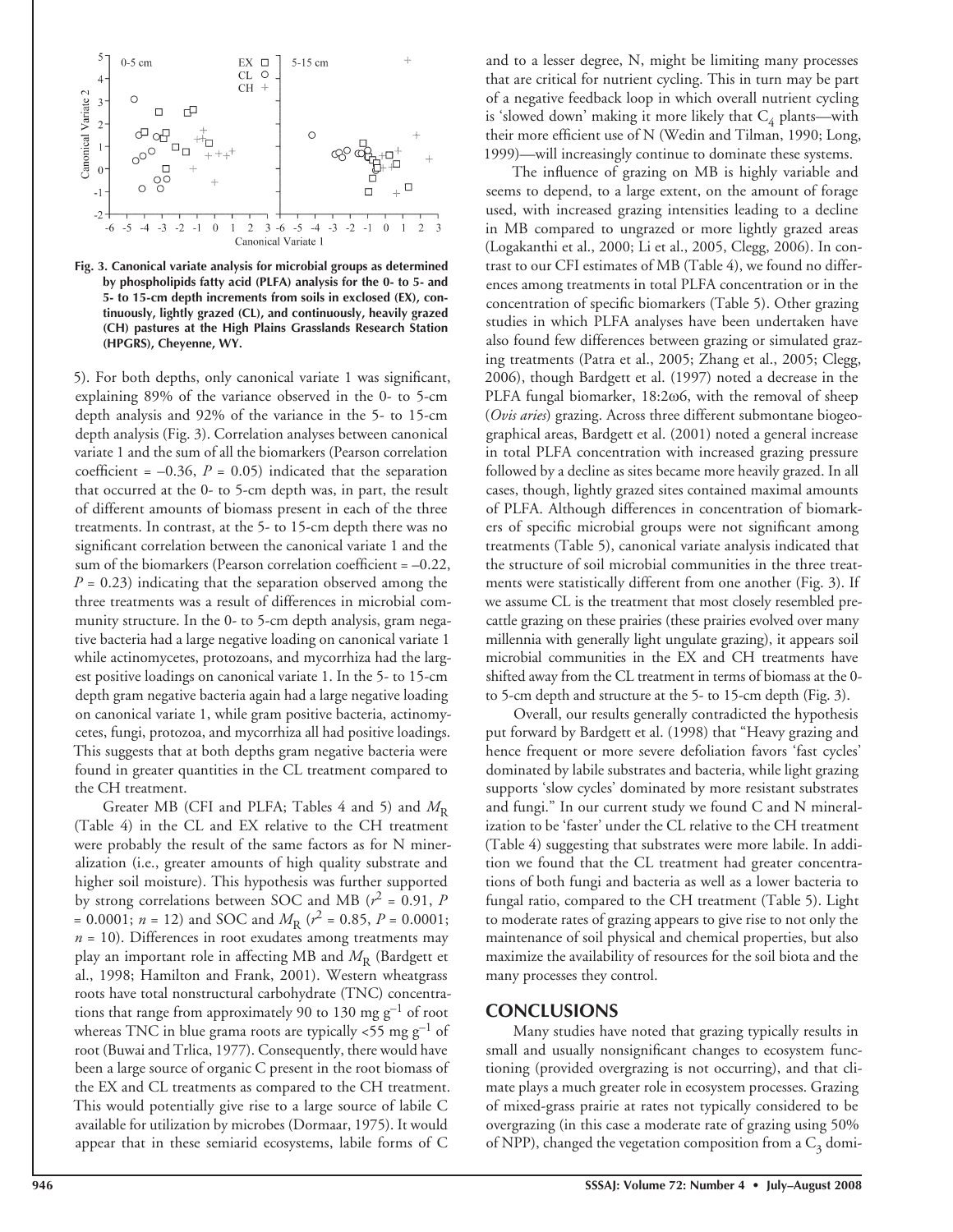

**Fig. 3. Canonical variate analysis for microbial groups as determined by phospholipids fatty acid (PLFA) analysis for the 0- to 5- and 5- to 15-cm depth increments from soils in exclosed (EX), continuously, lightly grazed (CL), and continuously, heavily grazed (CH) pastures at the High Plains Grasslands Research Station (HPGRS), Cheyenne, WY.**

5). For both depths, only canonical variate 1 was significant, explaining 89% of the variance observed in the 0- to 5-cm depth analysis and 92% of the variance in the 5- to 15-cm depth analysis (Fig. 3). Correlation analyses between canonical variate 1 and the sum of all the biomarkers (Pearson correlation coefficient =  $-0.36$ ,  $P = 0.05$ ) indicated that the separation that occurred at the 0- to 5-cm depth was, in part, the result of different amounts of biomass present in each of the three treatments. In contrast, at the 5- to 15-cm depth there was no significant correlation between the canonical variate 1 and the sum of the biomarkers (Pearson correlation coefficient  $= -0.22$ ,  $P = 0.23$ ) indicating that the separation observed among the three treatments was a result of differences in microbial community structure. In the 0- to 5-cm depth analysis, gram negative bacteria had a large negative loading on canonical variate 1 while actinomycetes, protozoans, and mycorrhiza had the largest positive loadings on canonical variate 1. In the 5- to 15-cm depth gram negative bacteria again had a large negative loading on canonical variate 1, while gram positive bacteria, actinomycetes, fungi, protozoa, and mycorrhiza all had positive loadings. This suggests that at both depths gram negative bacteria were found in greater quantities in the CL treatment compared to the CH treatment.

Greater MB (CFI and PLFA; Tables 4 and 5) and  $M_{\rm R}$ (Table 4) in the CL and EX relative to the CH treatment were probably the result of the same factors as for N mineralization (i.e., greater amounts of high quality substrate and higher soil moisture). This hypothesis was further supported by strong correlations between SOC and MB ( $r^2$  = 0.91, *P* = 0.0001;  $n = 12$ ) and SOC and  $M_R$  ( $r^2 = 0.85$ ,  $P = 0.0001$ ;  $n = 10$ ). Differences in root exudates among treatments may play an important role in affecting MB and  $M_R$  (Bardgett et al., 1998; Hamilton and Frank, 2001). Western wheatgrass roots have total nonstructural carbohydrate (TNC) concentrations that range from approximately 90 to 130 mg  $g^{-1}$  of root whereas TNC in blue grama roots are typically  $<$ 55 mg g<sup>-1</sup> of root (Buwai and Trlica, 1977). Consequently, there would have been a large source of organic C present in the root biomass of the EX and CL treatments as compared to the CH treatment. This would potentially give rise to a large source of labile C available for utilization by microbes (Dormaar, 1975). It would appear that in these semiarid ecosystems, labile forms of C

and to a lesser degree, N, might be limiting many processes that are critical for nutrient cycling. This in turn may be part of a negative feedback loop in which overall nutrient cycling is 'slowed down' making it more likely that  $C_4$  plants—with their more efficient use of N (Wedin and Tilman, 1990; Long, 1999)—will increasingly continue to dominate these systems.

The influence of grazing on MB is highly variable and seems to depend, to a large extent, on the amount of forage used, with increased grazing intensities leading to a decline in MB compared to ungrazed or more lightly grazed areas (Logakanthi et al., 2000; Li et al., 2005, Clegg, 2006). In contrast to our CFI estimates of MB (Table 4), we found no differences among treatments in total PLFA concentration or in the concentration of specific biomarkers (Table 5). Other grazing studies in which PLFA analyses have been undertaken have also found few differences between grazing or simulated grazing treatments (Patra et al., 2005; Zhang et al., 2005; Clegg, 2006), though Bardgett et al. (1997) noted a decrease in the PLFA fungal biomarker, 18:2ω6, with the removal of sheep (*Ovis aries*) grazing. Across three different submontane biogeographical areas, Bardgett et al. (2001) noted a general increase in total PLFA concentration with increased grazing pressure followed by a decline as sites became more heavily grazed. In all cases, though, lightly grazed sites contained maximal amounts of PLFA. Although differences in concentration of biomarkers of specific microbial groups were not significant among treatments (Table 5), canonical variate analysis indicated that the structure of soil microbial communities in the three treatments were statistically different from one another (Fig. 3). If we assume CL is the treatment that most closely resembled precattle grazing on these prairies (these prairies evolved over many millennia with generally light ungulate grazing), it appears soil microbial communities in the EX and CH treatments have shifted away from the CL treatment in terms of biomass at the 0 to 5-cm depth and structure at the 5- to 15-cm depth (Fig. 3).

Overall, our results generally contradicted the hypothesis put forward by Bardgett et al. (1998) that "Heavy grazing and hence frequent or more severe defoliation favors 'fast cycles' dominated by labile substrates and bacteria, while light grazing supports 'slow cycles' dominated by more resistant substrates and fungi." In our current study we found C and N mineralization to be 'faster' under the CL relative to the CH treatment (Table 4) suggesting that substrates were more labile. In addition we found that the CL treatment had greater concentrations of both fungi and bacteria as well as a lower bacteria to fungal ratio, compared to the CH treatment (Table 5). Light to moderate rates of grazing appears to give rise to not only the maintenance of soil physical and chemical properties, but also maximize the availability of resources for the soil biota and the many processes they control.

#### **CONCLUSIONS**

Many studies have noted that grazing typically results in small and usually nonsignificant changes to ecosystem functioning (provided overgrazing is not occurring), and that climate plays a much greater role in ecosystem processes. Grazing of mixed-grass prairie at rates not typically considered to be overgrazing (in this case a moderate rate of grazing using 50% of NPP), changed the vegetation composition from a  $C_3$  domi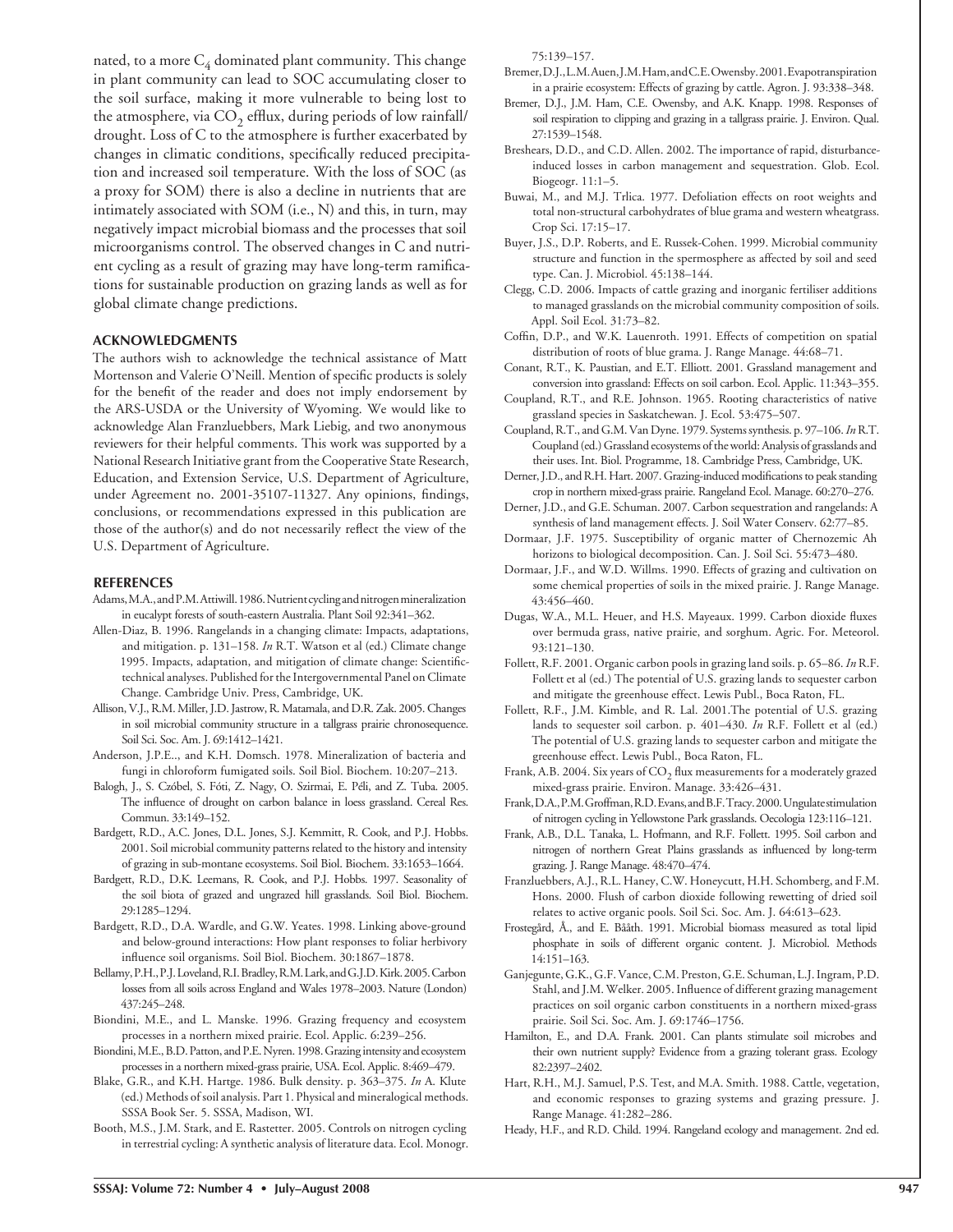nated, to a more  $C_4$  dominated plant community. This change in plant community can lead to SOC accumulating closer to the soil surface, making it more vulnerable to being lost to the atmosphere, via  $CO<sub>2</sub>$  efflux, during periods of low rainfall/ drought. Loss of C to the atmosphere is further exacerbated by changes in climatic conditions, specifically reduced precipitation and increased soil temperature. With the loss of SOC (as a proxy for SOM) there is also a decline in nutrients that are intimately associated with SOM (i.e., N) and this, in turn, may negatively impact microbial biomass and the processes that soil microorganisms control. The observed changes in C and nutrient cycling as a result of grazing may have long-term ramifications for sustainable production on grazing lands as well as for global climate change predictions.

#### **ACKNOWLEDGMENTS**

The authors wish to acknowledge the technical assistance of Matt Mortenson and Valerie O'Neill. Mention of specific products is solely for the benefit of the reader and does not imply endorsement by the ARS-USDA or the University of Wyoming. We would like to acknowledge Alan Franzluebbers, Mark Liebig, and two anonymous reviewers for their helpful comments. This work was supported by a National Research Initiative grant from the Cooperative State Research, Education, and Extension Service, U.S. Department of Agriculture, under Agreement no. 2001-35107-11327. Any opinions, findings, conclusions, or recommendations expressed in this publication are those of the author(s) and do not necessarily reflect the view of the U.S. Department of Agriculture.

#### **REFERENCES**

- Adams, M.A., and P.M. Attiwill. 1986. Nutrient cycling and nitrogen mineralization in eucalypt forests of south-eastern Australia. Plant Soil 92:341–362.
- Allen-Diaz, B. 1996. Rangelands in a changing climate: Impacts, adaptations, and mitigation. p. 131–158. *In* R.T. Watson et al (ed.) Climate change 1995. Impacts, adaptation, and mitigation of climate change: Scientifictechnical analyses. Published for the Intergovernmental Panel on Climate Change. Cambridge Univ. Press, Cambridge, UK.
- Allison, V.J., R.M. Miller, J.D. Jastrow, R. Matamala, and D.R. Zak. 2005. Changes in soil microbial community structure in a tallgrass prairie chronosequence. Soil Sci. Soc. Am. J. 69:1412–1421.
- Anderson, J.P.E.., and K.H. Domsch. 1978. Mineralization of bacteria and fungi in chloroform fumigated soils. Soil Biol. Biochem. 10:207–213.
- Balogh, J., S. Czóbel, S. Fóti, Z. Nagy, O. Szirmai, E. Péli, and Z. Tuba. 2005. The influence of drought on carbon balance in loess grassland. Cereal Res. Commun. 33:149–152.
- Bardgett, R.D., A.C. Jones, D.L. Jones, S.J. Kemmitt, R. Cook, and P.J. Hobbs. 2001. Soil microbial community patterns related to the history and intensity of grazing in sub-montane ecosystems. Soil Biol. Biochem. 33:1653–1664.
- Bardgett, R.D., D.K. Leemans, R. Cook, and P.J. Hobbs. 1997. Seasonality of the soil biota of grazed and ungrazed hill grasslands. Soil Biol. Biochem. 29:1285–1294.
- Bardgett, R.D., D.A. Wardle, and G.W. Yeates. 1998. Linking above-ground and below-ground interactions: How plant responses to foliar herbivory influence soil organisms. Soil Biol. Biochem. 30:1867-1878.
- Bellamy, P.H., P.J. Loveland, R.I. Bradley, R.M. Lark, and G.J.D. Kirk. 2005. Carbon losses from all soils across England and Wales 1978–2003. Nature (London) 437:245–248.
- Biondini, M.E., and L. Manske. 1996. Grazing frequency and ecosystem processes in a northern mixed prairie. Ecol. Applic. 6:239–256.
- Biondini, M.E., B.D. Patton, and P.E. Nyren. 1998. Grazing intensity and ecosystem processes in a northern mixed-grass prairie, USA. Ecol. Applic. 8:469–479.
- Blake, G.R., and K.H. Hartge. 1986. Bulk density. p. 363–375. *In* A. Klute (ed.) Methods of soil analysis. Part 1. Physical and mineralogical methods. SSSA Book Ser. 5. SSSA, Madison, WI.
- Booth, M.S., J.M. Stark, and E. Rastetter. 2005. Controls on nitrogen cycling in terrestrial cycling: A synthetic analysis of literature data. Ecol. Monogr.

75:139–157.

- Bremer, D.J., L.M. Auen, J.M. Ham, and C.E. Owensby. 2001. Evapotranspiration in a prairie ecosystem: Effects of grazing by cattle. Agron. J. 93:338–348.
- Bremer, D.J., J.M. Ham, C.E. Owensby, and A.K. Knapp. 1998. Responses of soil respiration to clipping and grazing in a tallgrass prairie. J. Environ. Qual. 27:1539–1548.
- Breshears, D.D., and C.D. Allen. 2002. The importance of rapid, disturbanceinduced losses in carbon management and sequestration. Glob. Ecol. Biogeogr. 11:1–5.
- Buwai, M., and M.J. Trlica. 1977. Defoliation effects on root weights and total non-structural carbohydrates of blue grama and western wheatgrass. Crop Sci. 17:15–17.
- Buyer, J.S., D.P. Roberts, and E. Russek-Cohen. 1999. Microbial community structure and function in the spermosphere as affected by soil and seed type. Can. J. Microbiol. 45:138–144.
- Clegg, C.D. 2006. Impacts of cattle grazing and inorganic fertiliser additions to managed grasslands on the microbial community composition of soils. Appl. Soil Ecol. 31:73–82.
- Coffin, D.P., and W.K. Lauenroth. 1991. Effects of competition on spatial distribution of roots of blue grama. J. Range Manage. 44:68–71.
- Conant, R.T., K. Paustian, and E.T. Elliott. 2001. Grassland management and conversion into grassland: Effects on soil carbon. Ecol. Applic. 11:343–355.
- Coupland, R.T., and R.E. Johnson. 1965. Rooting characteristics of native grassland species in Saskatchewan. J. Ecol. 53:475–507.
- Coupland, R.T., and G.M. Van Dyne. 1979. Systems synthesis. p. 97–106. *In* R.T. Coupland (ed.) Grassland ecosystems of the world: Analysis of grasslands and their uses. Int. Biol. Programme, 18. Cambridge Press, Cambridge, UK.
- Derner, J.D., and R.H. Hart. 2007. Grazing-induced modifications to peak standing crop in northern mixed-grass prairie. Rangeland Ecol. Manage. 60:270–276.
- Derner, J.D., and G.E. Schuman. 2007. Carbon sequestration and rangelands: A synthesis of land management effects. J. Soil Water Conserv. 62:77–85.
- Dormaar, J.F. 1975. Susceptibility of organic matter of Chernozemic Ah horizons to biological decomposition. Can. J. Soil Sci. 55:473–480.
- Dormaar, J.F., and W.D. Willms. 1990. Effects of grazing and cultivation on some chemical properties of soils in the mixed prairie. J. Range Manage. 43:456–460.
- Dugas, W.A., M.L. Heuer, and H.S. Mayeaux. 1999. Carbon dioxide fluxes over bermuda grass, native prairie, and sorghum. Agric. For. Meteorol. 93:121–130.
- Follett, R.F. 2001. Organic carbon pools in grazing land soils. p. 65–86. *In* R.F. Follett et al (ed.) The potential of U.S. grazing lands to sequester carbon and mitigate the greenhouse effect. Lewis Publ., Boca Raton, FL.
- Follett, R.F., J.M. Kimble, and R. Lal. 2001.The potential of U.S. grazing lands to sequester soil carbon. p. 401–430. *In* R.F. Follett et al (ed.) The potential of U.S. grazing lands to sequester carbon and mitigate the greenhouse effect. Lewis Publ., Boca Raton, FL.
- Frank, A.B. 2004. Six years of  $\mathrm{CO}_2$  flux measurements for a moderately grazed mixed-grass prairie. Environ. Manage. 33:426–431.
- Frank, D.A., P.M. Groffman, R.D. Evans, and B.F. Tracy. 2000. Ungulate stimulation of nitrogen cycling in Yellowstone Park grasslands. Oecologia 123:116–121.
- Frank, A.B., D.L. Tanaka, L. Hofmann, and R.F. Follett. 1995. Soil carbon and nitrogen of northern Great Plains grasslands as influenced by long-term grazing. J. Range Manage. 48:470–474.
- Franzluebbers, A.J., R.L. Haney, C.W. Honeycutt, H.H. Schomberg, and F.M. Hons. 2000. Flush of carbon dioxide following rewetting of dried soil relates to active organic pools. Soil Sci. Soc. Am. J. 64:613–623.
- Frostegård, Å., and E. Bååth. 1991. Microbial biomass measured as total lipid phosphate in soils of different organic content. J. Microbiol. Methods 14:151–163.
- Ganjegunte, G.K., G.F. Vance, C.M. Preston, G.E. Schuman, L.J. Ingram, P.D. Stahl, and J.M. Welker. 2005. Influence of different grazing management practices on soil organic carbon constituents in a northern mixed-grass prairie. Soil Sci. Soc. Am. J. 69:1746–1756.
- Hamilton, E., and D.A. Frank. 2001. Can plants stimulate soil microbes and their own nutrient supply? Evidence from a grazing tolerant grass. Ecology 82:2397–2402.
- Hart, R.H., M.J. Samuel, P.S. Test, and M.A. Smith. 1988. Cattle, vegetation, and economic responses to grazing systems and grazing pressure. J. Range Manage. 41:282–286.
- Heady, H.F., and R.D. Child. 1994. Rangeland ecology and management. 2nd ed.